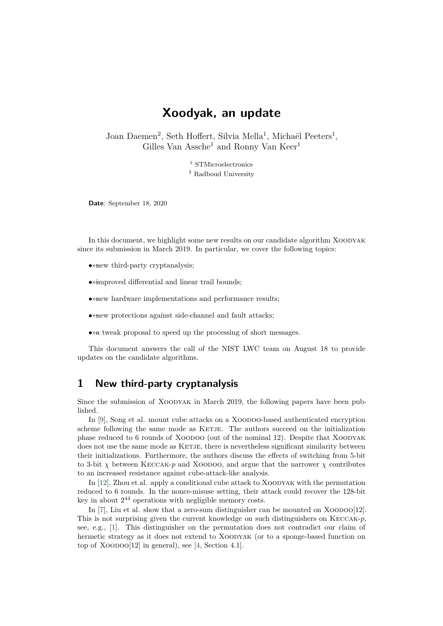# **Xoodyak, an update**

Joan Daemen<sup>2</sup>, Seth Hoffert, Silvia Mella<sup>1</sup>, Michaël Peeters<sup>1</sup>, Gilles Van Assche<sup>1</sup> and Ronny Van Keer<sup>1</sup>

> <sup>1</sup> STMicroelectronics <sup>2</sup> Radboud University

**Date**: September 18, 2020

In this document, we highlight some new results on our candidate algorithm XOODYAK since its submission in March 2019. In particular, we cover the following topics:

- $\leftarrow$  third-party cryptanalysis:
- $\bullet$  ÷improved differential and linear trail bounds;
- $\leftrightarrow$  mew hardware implementations and performance results:
- $\leftrightarrow$  *•*  $\leftrightarrow$  *•*  $\leftrightarrow$  *r*  $\leftrightarrow$  *r*  $\leftrightarrow$  *x*  $\leftrightarrow$  *x*  $\leftrightarrow$  *<i>x*  $\leftrightarrow$  *x*  $\leftrightarrow$  *x*  $\leftrightarrow$  *x*  $\leftrightarrow$  *x*  $\leftrightarrow$  *x*  $\leftrightarrow$  *x*  $\leftrightarrow$  *x*  $\leftrightarrow$  *x*  $\leftrightarrow$  *x*  $\leftrightarrow$  *x*  $\leftrightarrow$  *x*  $\leftrightarrow$  *x*  $\leftrightarrow$  *x*  $\leftrightarrow$  *x*  $\leftrightarrow$  *x*  $\leftrightarrow$
- $\bullet$   $\leftrightarrow$  a tweak proposal to speed up the processing of short messages.

This document answers the call of the NIST LWC team on August 18 to provide updates on the candidate algorithms.

## **1 New third-party cryptanalysis**

Since the submission of Xoodyak in March 2019, the following papers have been published.

In [\[9](#page-4-0)], Song et al. mount cube attacks on a XOODOO-based authenticated encryption scheme following the same mode as KETJE. The authors succeed on the initialization phase reduced to 6 rounds of Xoodoo (out of the nominal 12). Despite that Xoodyak does not use the same mode as KETJE, there is nevertheless significant similarity between their initializations. Furthermore, the authors discuss the effects of switching from 5-bit to 3-bit  $\chi$  between KECCAK-*p* and XOODOO, and argue that the narrower  $\chi$  contributes to an increased resistance against cube-attack-like analysis.

In [[12\]](#page-4-1), Zhou et al. apply a conditional cube attack to Xoodyak with the permutation reduced to 6 rounds. In the nonce-misuse setting, their attack could recover the 128-bit key in about  $2^{44}$  operations with negligible memory costs.

In  $[7]$  $[7]$ , Liu et al. show that a zero-sum distinguisher can be mounted on XOODOO $[12]$ . This is not surprising given the current knowledge on such distinguishers on Keccak-*p*, see, e.g., [\[1](#page-4-3)]. This distinguisher on the permutation does not contradict our claim of hermetic strategy as it does not extend to XOODYAK (or to a sponge-based function on top of  $Xoo$ DOO $[12]$  in general), see [[4,](#page-4-4) Section 4.1].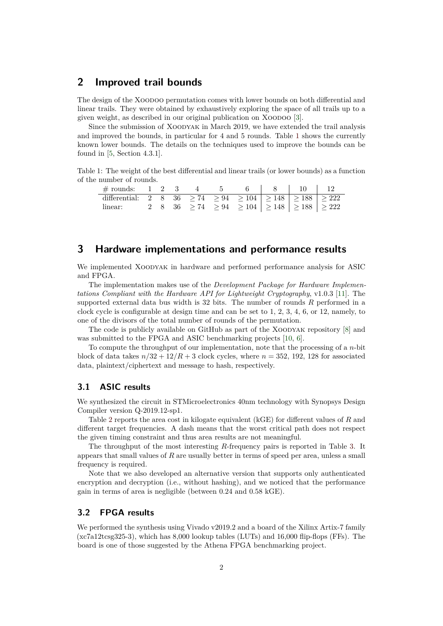## **2 Improved trail bounds**

The design of the Xoodoo permutation comes with lower bounds on both differential and linear trails. They were obtained by exhaustively exploring the space of all trails up to a given weight, as described in our original publication on XOODOO [[3\]](#page-4-5).

Since the submission of XOODYAK in March 2019, we have extended the trail analysis and improved the bounds, in particular for 4 and 5 rounds. Table [1](#page-1-0) shows the currently known lower bounds. The details on the techniques used to improve the bounds can be found in [[5](#page-4-6), Section 4.3.1].

<span id="page-1-0"></span>Table 1: The weight of the best differential and linear trails (or lower bounds) as a function of the number of rounds.

| $\#$ rounds: 1 2 3                                                                   |  |  |                                                                        | 6 8 10 12 |  |
|--------------------------------------------------------------------------------------|--|--|------------------------------------------------------------------------|-----------|--|
| differential: 2 8 36 $\geq 74$ $\geq 94$ $\geq 104$ $\geq 148$ $\geq 188$ $\geq 222$ |  |  |                                                                        |           |  |
| linear:                                                                              |  |  | 2 8 36 $\geq 74$ $\geq 94$ $\geq 104$ $\geq 148$ $\geq 188$ $\geq 222$ |           |  |

## **3 Hardware implementations and performance results**

We implemented XOODYAK in hardware and performed performance analysis for ASIC and FPGA.

The implementation makes use of the *Development Package for Hardware Implementations Compliant with the Hardware API for Lightweight Cryptography*, v1.0.3 [\[11\]](#page-4-7). The supported external data bus width is 32 bits. The number of rounds *R* performed in a clock cycle is configurable at design time and can be set to 1, 2, 3, 4, 6, or 12, namely, to one of the divisors of the total number of rounds of the permutation.

The code is publicly available on GitHub as part of the XOODYAK repository [[8\]](#page-4-8) and was submitted to the FPGA and ASIC benchmarking projects [[10,](#page-4-9) [6\]](#page-4-10).

To compute the throughput of our implementation, note that the processing of a *n*-bit block of data takes  $n/32 + 12/R + 3$  clock cycles, where  $n = 352, 192, 128$  for associated data, plaintext/ciphertext and message to hash, respectively.

### **3.1 ASIC results**

We synthesized the circuit in STMicroelectronics 40nm technology with Synopsys Design Compiler version Q-2019.12-sp1.

Table [2](#page-2-0) reports the area cost in kilogate equivalent (kGE) for different values of *R* and different target frequencies. A dash means that the worst critical path does not respect the given timing constraint and thus area results are not meaningful.

The throughput of the most interesting *R*-frequency pairs is reported in Table [3](#page-2-1). It appears that small values of *R* are usually better in terms of speed per area, unless a small frequency is required.

Note that we also developed an alternative version that supports only authenticated encryption and decryption (i.e., without hashing), and we noticed that the performance gain in terms of area is negligible (between 0.24 and 0.58 kGE).

#### **3.2 FPGA results**

We performed the synthesis using Vivado v2019.2 and a board of the Xilinx Artix-7 family  $(xc7a12tcsg325-3)$ , which has 8,000 lookup tables (LUTs) and 16,000 flip-flops (FFs). The board is one of those suggested by the Athena FPGA benchmarking project.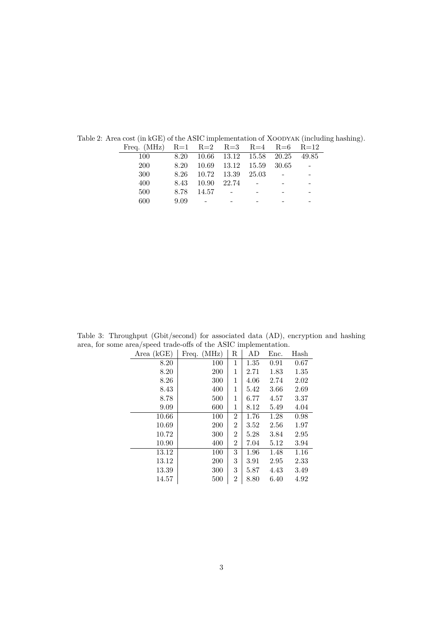| Freq. (MHz) $R=1$ $R=2$ $R=3$ $R=4$ $R=6$ $R=12$ |      |                                    |                         |  |  |
|--------------------------------------------------|------|------------------------------------|-------------------------|--|--|
| 100                                              |      | 8.20 10.66 13.12 15.58 20.25 49.85 |                         |  |  |
| 200                                              | 8.20 |                                    | 10.69 13.12 15.59 30.65 |  |  |
| 300                                              |      | 8.26 10.72 13.39 25.03             |                         |  |  |
| 400                                              | 8.43 | 10.90 22.74                        |                         |  |  |
| 500                                              | 8.78 | 14.57                              |                         |  |  |
| 600                                              | 9.09 |                                    |                         |  |  |
|                                                  |      |                                    |                         |  |  |

<span id="page-2-0"></span>Table 2: Area cost (in kGE) of the ASIC implementation of XOODYAK (including hashing).

<span id="page-2-1"></span>Table 3: Throughput (Gbit/second) for associated data (AD), encryption and hashing area, for some area/speed trade-offs of the ASIC implementation.

| Area $(kGE)$ | Freq. $(MHz)$ | R              | AD   | Enc. | Hash |
|--------------|---------------|----------------|------|------|------|
| 8.20         | 100           | 1              | 1.35 | 0.91 | 0.67 |
| 8.20         | 200           | 1              | 2.71 | 1.83 | 1.35 |
| 8.26         | 300           | 1              | 4.06 | 2.74 | 2.02 |
| 8.43         | 400           | 1              | 5.42 | 3.66 | 2.69 |
| 8.78         | 500           | 1              | 6.77 | 4.57 | 3.37 |
| 9.09         | 600           | 1              | 8.12 | 5.49 | 4.04 |
| 10.66        | 100           | $\overline{2}$ | 1.76 | 1.28 | 0.98 |
| 10.69        | 200           | 2              | 3.52 | 2.56 | 1.97 |
| 10.72        | 300           | 2              | 5.28 | 3.84 | 2.95 |
| 10.90        | 400           | 2              | 7.04 | 5.12 | 3.94 |
| 13.12        | 100           | 3              | 1.96 | 1.48 | 1.16 |
| 13.12        | 200           | 3              | 3.91 | 2.95 | 2.33 |
| 13.39        | 300           | 3              | 5.87 | 4.43 | 3.49 |
| 14.57        | 500           | 2              | 8.80 | 6.40 | 4.92 |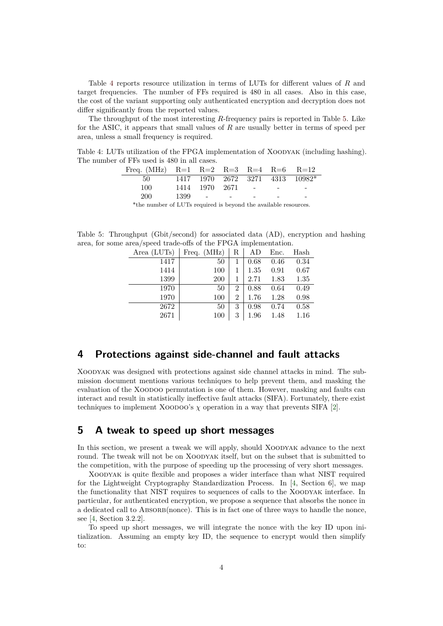Table [4](#page-3-0) reports resource utilization in terms of LUTs for different values of *R* and target frequencies. The number of FFs required is 480 in all cases. Also in this case, the cost of the variant supporting only authenticated encryption and decryption does not differ significantly from the reported values.

The throughput of the most interesting *R*-frequency pairs is reported in Table [5.](#page-3-1) Like for the ASIC, it appears that small values of *R* are usually better in terms of speed per area, unless a small frequency is required.

<span id="page-3-0"></span>Table 4: LUTs utilization of the FPGA implementation of XOODYAK (including hashing). The number of FFs used is 480 in all cases.

| Freq. (MHz) $R=1$ $R=2$ $R=3$ $R=4$ $R=6$ $R=12$                                |                    |  |  |
|---------------------------------------------------------------------------------|--------------------|--|--|
| $50 \qquad 1417 \qquad 1970 \qquad 2672 \qquad 3271 \qquad 4313 \qquad 10982^*$ |                    |  |  |
| -100-                                                                           | 1414 1970 2671 - - |  |  |
| 200                                                                             | $1399 - - - - -$   |  |  |
|                                                                                 |                    |  |  |

\*the number of LUTs required is beyond the available resources.

<span id="page-3-1"></span>Table 5: Throughput (Gbit/second) for associated data (AD), encryption and hashing area, for some area/speed trade-offs of the FPGA implementation.

| Area (LUTs) | Freq. (MHz) | R              | AD   | Enc. | Hash |
|-------------|-------------|----------------|------|------|------|
| 1417        | 50          |                | 0.68 | 0.46 | 0.34 |
| 1414        | 100         |                | 1.35 | 0.91 | 0.67 |
| 1399        | 200         |                | 2.71 | 1.83 | 1.35 |
| 1970        | 50          | $\overline{2}$ | 0.88 | 0.64 | 0.49 |
| 1970        | 100         | $\overline{2}$ | 1.76 | 1.28 | 0.98 |
| 2672        | 50          | 3              | 0.98 | 0.74 | 0.58 |
| 2671        | 100         | 3              | 1.96 | 1.48 | 1.16 |

## **4 Protections against side-channel and fault attacks**

Xoodyak was designed with protections against side channel attacks in mind. The submission document mentions various techniques to help prevent them, and masking the evaluation of the Xoodoo permutation is one of them. However, masking and faults can interact and result in statistically ineffective fault attacks (SIFA). Fortunately, there exist techniques to implement XOODOO's  $\chi$  operation in a way that prevents SIFA [\[2](#page-4-11)].

## **5 A tweak to speed up short messages**

In this section, we present a tweak we will apply, should Xoodyak advance to the next round. The tweak will not be on Xoodyak itself, but on the subset that is submitted to the competition, with the purpose of speeding up the processing of very short messages.

Xoodyak is quite flexible and proposes a wider interface than what NIST required for the Lightweight Cryptography Standardization Process. In [[4,](#page-4-4) Section 6], we map the functionality that NIST requires to sequences of calls to the Xoodyak interface. In particular, for authenticated encryption, we propose a sequence that absorbs the nonce in a dedicated call to ABSORB(nonce). This is in fact one of three ways to handle the nonce, see [\[4](#page-4-4), Section 3.2.2].

To speed up short messages, we will integrate the nonce with the key ID upon initialization. Assuming an empty key ID, the sequence to encrypt would then simplify to: